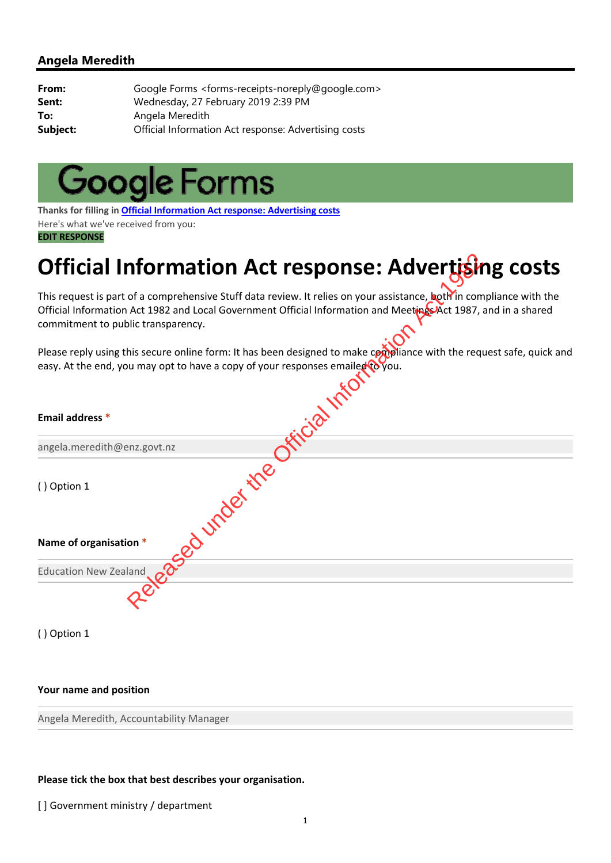| From:    | Google Forms <forms-receipts-noreply@google.com></forms-receipts-noreply@google.com> |
|----------|--------------------------------------------------------------------------------------|
| Sent:    | Wednesday, 27 February 2019 2:39 PM                                                  |
| To:      | Angela Meredith                                                                      |
| Subject: | Official Information Act response: Advertising costs                                 |



**Thanks for filling in Official Information Act response: Advertising costs** Here's what we've received from you: **EDIT RESPONSE**

# **Official Information Act response: Advertising costs**

| Official Information Act response: Advertising costs                                                                                                                                                                                                                         |
|------------------------------------------------------------------------------------------------------------------------------------------------------------------------------------------------------------------------------------------------------------------------------|
| This request is part of a comprehensive Stuff data review. It relies on your assistance, both in compliance with the<br>Official Information Act 1982 and Local Government Official Information and Meetings Act 1987, and in a shared<br>commitment to public transparency. |
| Please reply using this secure online form: It has been designed to make compliance with the request safe, quick and<br>easy. At the end, you may opt to have a copy of your responses emailed to you.                                                                       |
|                                                                                                                                                                                                                                                                              |
| Email address *                                                                                                                                                                                                                                                              |
| angela.meredith@enz.govt.nz                                                                                                                                                                                                                                                  |
| ileased under the<br>() Option 1                                                                                                                                                                                                                                             |
| Name of organisation *                                                                                                                                                                                                                                                       |
| <b>Education New Zealand</b>                                                                                                                                                                                                                                                 |
|                                                                                                                                                                                                                                                                              |

( ) Option 1

#### **Your name and position**

Angela Meredith, Accountability Manager

#### **Please tick the box that best describes your organisation.**

[] Government ministry / department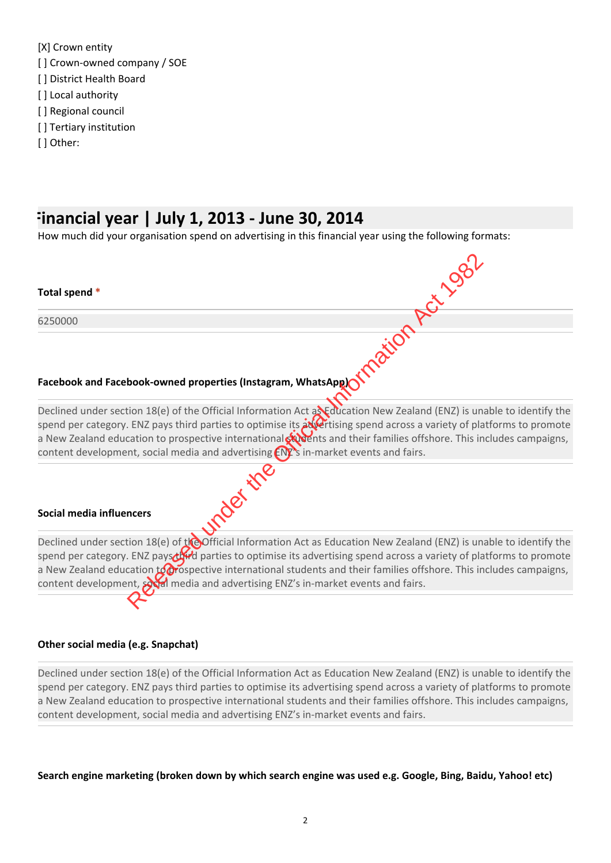[X] Crown entity [] Crown-owned company / SOE [ ] District Health Board [] Local authority [] Regional council [] Tertiary institution [ ] Other:

### **Financial year | July 1, 2013 ‐ June 30, 2014**

How much did your organisation spend on advertising in this financial year using the following formats:

#### **Total spend \***

6250000

#### **Facebook and Facebook‐owned properties (Instagram, WhatsApp)**

Declined under section 18(e) of the Official Information Act and dication New Zealand (ENZ) is unable to identify the spend per category. ENZ pays third parties to optimise its advertising spend across a variety of platforms to promote a New Zealand education to prospective international students and their families offshore. This includes campaigns, content development, social media and advertising  $ENZ$ s in-market events and fairs.

#### **Social media influencers**

Declined under section 18(e) of  $t$  of  $\alpha$  Deficial Information Act as Education New Zealand (ENZ) is unable to identify the spend per category. ENZ pays that parties to optimise its advertising spend across a variety of platforms to promote a New Zealand education to prospective international students and their families offshore. This includes campaigns, content development, social media and advertising ENZ's in-market events and fairs. book-owned properties (Instagram, WhatsApp)<br>the Conserved unity of the Official Information Act as difference in New Zealand (ENZ) is under the Official Information Act as different on New Zealand (ENZ) is under the Offici

#### **Other social media (e.g. Snapchat)**

Declined under section 18(e) of the Official Information Act as Education New Zealand (ENZ) is unable to identify the spend per category. ENZ pays third parties to optimise its advertising spend across a variety of platforms to promote a New Zealand education to prospective international students and their families offshore. This includes campaigns, content development, social media and advertising ENZ's in-market events and fairs.

**Search engine marketing (broken down by which search engine was used e.g. Google, Bing, Baidu, Yahoo! etc)**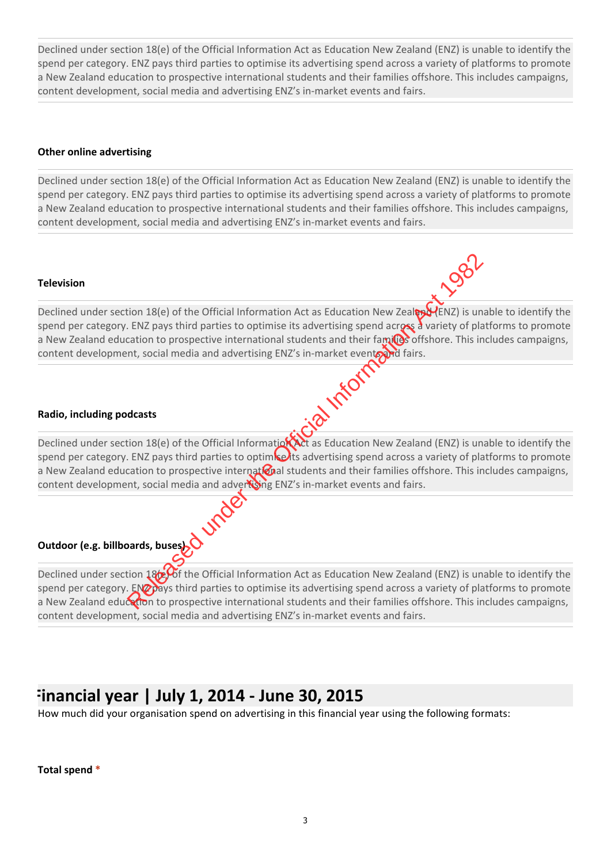#### **Other online advertising**

Declined under section 18(e) of the Official Information Act as Education New Zealand (ENZ) is unable to identify the spend per category. ENZ pays third parties to optimise its advertising spend across a variety of platforms to promote a New Zealand education to prospective international students and their families offshore. This includes campaigns, content development, social media and advertising ENZ's in-market events and fairs.

#### **Television**



Declined under section 18(e) of the Official Information Act as Education New Zealand (ENZ) is unable to identify the spend per category. ENZ pays third parties to optimise its advertising spend across a variety of platforms to promote a New Zealand education to prospective international students and their familes offshore. This includes campaigns, content development, social media and advertising ENZ's in-market events and fairs. EXTEND ANTION DRIGHTERT THIS IS UNDERT THE CITED AND THE CITED AND THE CITED AND THE CITED AND THE CITED ATTENTS OF THE CITED THE CITED THE CITED THE CITED THE CITED THE CITED AND THE CITED AND THE CITED AND THE CITED AND

#### **Radio, including podcasts**

Declined under section 18(e) of the Official Information Act as Education New Zealand (ENZ) is unable to identify the spend per category. ENZ pays third parties to optim**ise i**ts advertising spend across a variety of platforms to promote a New Zealand education to prospective international students and their families offshore. This includes campaigns, content development, social media and advertising ENZ's in-market events and fairs.

Outdoor (e.g. billboards, buses) **WARD**<br>Declined under contained by the sport of Declined under section  $18<sub>0</sub>$  of the Official Information Act as Education New Zealand (ENZ) is unable to identify the spend per category. ENZ pays third parties to optimise its advertising spend across a variety of platforms to promote a New Zealand education to prospective international students and their families offshore. This includes campaigns, content development, social media and advertising ENZ's in‐market events and fairs.

### **Financial year | July 1, 2014 ‐ June 30, 2015**

How much did your organisation spend on advertising in this financial year using the following formats:

**Total spend \***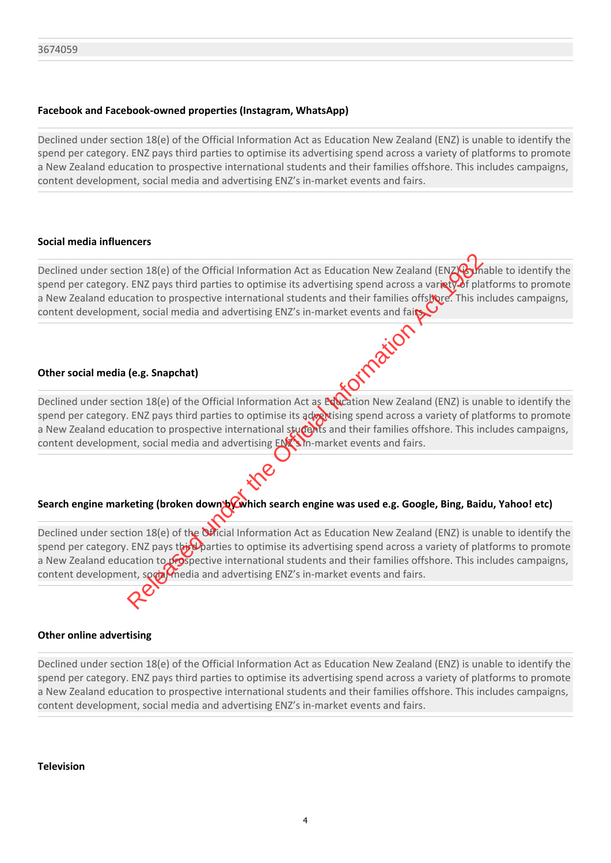#### **Facebook and Facebook‐owned properties (Instagram, WhatsApp)**

Declined under section 18(e) of the Official Information Act as Education New Zealand (ENZ) is unable to identify the spend per category. ENZ pays third parties to optimise its advertising spend across a variety of platforms to promote a New Zealand education to prospective international students and their families offshore. This includes campaigns, content development, social media and advertising ENZ's in‐market events and fairs.

#### **Social media influencers**

Declined under section 18(e) of the Official Information Act as Education New Zealand (ENZ) hable to identify the spend per category. ENZ pays third parties to optimise its advertising spend across a varinty of platforms to promote a New Zealand education to prospective international students and their families offstore. This includes campaigns,

#### **Other social media (e.g. Snapchat)**

content development, social media and advertising ENZ's in-market events and fait<br>.<br>.<br>Other social media (e.g. Snapchat)<br>Declinari Declined under section 18(e) of the Official Information Act as Education New Zealand (ENZ) is unable to identify the spend per category. ENZ pays third parties to optimise its advertising spend across a variety of platforms to promote a New Zealand education to prospective international students and their families offshore. This includes campaigns, content development, social media and advertising ENZ's in-market events and fairs.

### Search engine marketing (broken down bowhich search engine was used e.g. Google, Bing, Baidu, Yahoo! etc)

Declined under section 18(e) of the Official Information Act as Education New Zealand (ENZ) is unable to identify the spend per category. ENZ pays the Parties to optimise its advertising spend across a variety of platforms to promote a New Zealand education to prospective international students and their families offshore. This includes campaigns, content development, social media and advertising ENZ's in-market events and fairs. ERECT UNITED ACTS THE PROPERT IS a continue of the Official Information Act as Education New Zealand (ENZ) and the CHIZ pays third parties to optimise its advertising spend across a variation of prospective international s

#### **Other online advertising**

Declined under section 18(e) of the Official Information Act as Education New Zealand (ENZ) is unable to identify the spend per category. ENZ pays third parties to optimise its advertising spend across a variety of platforms to promote a New Zealand education to prospective international students and their families offshore. This includes campaigns, content development, social media and advertising ENZ's in-market events and fairs.

**Television**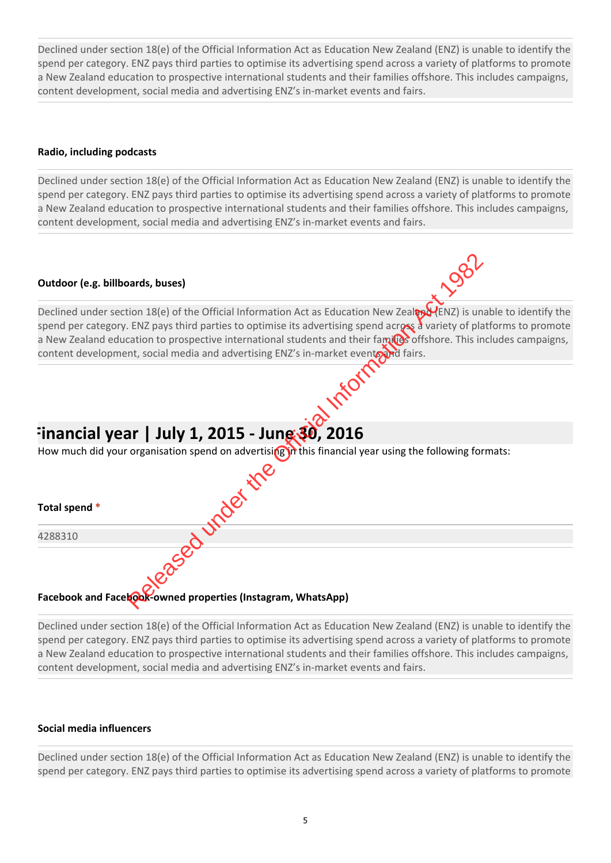#### **Radio, including podcasts**

Declined under section 18(e) of the Official Information Act as Education New Zealand (ENZ) is unable to identify the spend per category. ENZ pays third parties to optimise its advertising spend across a variety of platforms to promote a New Zealand education to prospective international students and their families offshore. This includes campaigns, content development, social media and advertising ENZ's in-market events and fairs.

#### **Outdoor (e.g. billboards, buses)**



## **Financial year | July 1, 2015 ‐ June 30, 2016**

| Outdoor (e.g. billboards, buses)                                                                                                                                                                                                                                                                                                                                                                                                                       |
|--------------------------------------------------------------------------------------------------------------------------------------------------------------------------------------------------------------------------------------------------------------------------------------------------------------------------------------------------------------------------------------------------------------------------------------------------------|
| Declined under section 18(e) of the Official Information Act as Education New Zeal (ENZ) is unable to identify the<br>spend per category. ENZ pays third parties to optimise its advertising spend across a variety of platforms to promote<br>a New Zealand education to prospective international students and their familes offshore. This includes campaigns,<br>content development, social media and advertising ENZ's in-market eventeed fairs. |
|                                                                                                                                                                                                                                                                                                                                                                                                                                                        |
| Financial year   July 1, 2015 - Jung $30$ , 2016                                                                                                                                                                                                                                                                                                                                                                                                       |
| How much did your organisation spend on advertising in this financial year using the following formats:                                                                                                                                                                                                                                                                                                                                                |
| inder ine                                                                                                                                                                                                                                                                                                                                                                                                                                              |
| Total spend *                                                                                                                                                                                                                                                                                                                                                                                                                                          |
| 4288310                                                                                                                                                                                                                                                                                                                                                                                                                                                |
| 22880                                                                                                                                                                                                                                                                                                                                                                                                                                                  |
| Facebook and Facebook-owned properties (Instagram, WhatsApp)                                                                                                                                                                                                                                                                                                                                                                                           |

#### Facebook and Face**kook-owned properties (Instagram, WhatsApp)**

Declined under section 18(e) of the Official Information Act as Education New Zealand (ENZ) is unable to identify the spend per category. ENZ pays third parties to optimise its advertising spend across a variety of platforms to promote a New Zealand education to prospective international students and their families offshore. This includes campaigns, content development, social media and advertising ENZ's in-market events and fairs.

#### **Social media influencers**

Declined under section 18(e) of the Official Information Act as Education New Zealand (ENZ) is unable to identify the spend per category. ENZ pays third parties to optimise its advertising spend across a variety of platforms to promote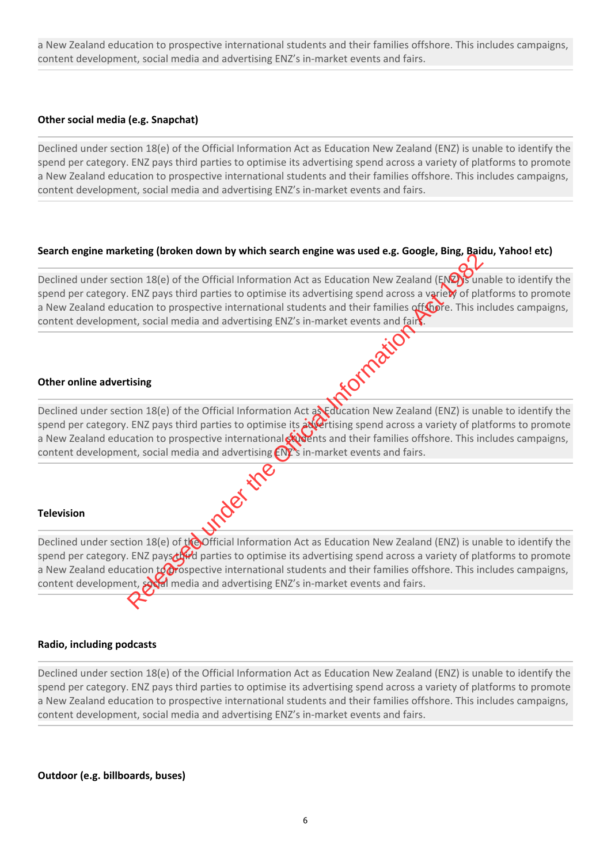a New Zealand education to prospective international students and their families offshore. This includes campaigns, content development, social media and advertising ENZ's in-market events and fairs.

#### **Other social media (e.g. Snapchat)**

Declined under section 18(e) of the Official Information Act as Education New Zealand (ENZ) is unable to identify the spend per category. ENZ pays third parties to optimise its advertising spend across a variety of platforms to promote a New Zealand education to prospective international students and their families offshore. This includes campaigns, content development, social media and advertising ENZ's in‐market events and fairs.

#### **Search engine marketing (broken down by which search engine was used e.g. Google, Bing, Baidu, Yahoo! etc)**

Declined under section 18(e) of the Official Information Act as Education New Zealand (ENZ) sunable to identify the spend per category. ENZ pays third parties to optimise its advertising spend across a variety of platforms to promote a New Zealand education to prospective international students and their families offshore. This includes campaigns,<br>content development, social media and advertising ENZ's in-market events and fairs.<br>**Other online advertis** content development, social media and advertising ENZ's in-market events and fairs.

#### **Other online advertising**

Declined under section 18(e) of the Official Information Act a**NE**ducation New Zealand (ENZ) is unable to identify the spend per category. ENZ pays third parties to optimise its advertising spend across a variety of platforms to promote a New Zealand education to prospective international students and their families offshore. This includes campaigns, content development, social media and advertising ENZ's in-market events and fairs.<br>
Television

#### **Television**

Declined under section 18(e) of  $t$  of  $\alpha$  Deficial Information Act as Education New Zealand (ENZ) is unable to identify the spend per category. ENZ pays third parties to optimise its advertising spend across a variety of platforms to promote a New Zealand education  $\mu$  prospective international students and their families offshore. This includes campaigns, content development, social media and advertising ENZ's in-market events and fairs. Example the Official Information Act as Education New Zealand (ENZ) subsetting the Official Information Act as Education New Zealand (ENZ) Sundary that Exaps the official and advertising speak and their families officient.

#### **Radio, including podcasts**

Declined under section 18(e) of the Official Information Act as Education New Zealand (ENZ) is unable to identify the spend per category. ENZ pays third parties to optimise its advertising spend across a variety of platforms to promote a New Zealand education to prospective international students and their families offshore. This includes campaigns, content development, social media and advertising ENZ's in-market events and fairs.

**Outdoor (e.g. billboards, buses)**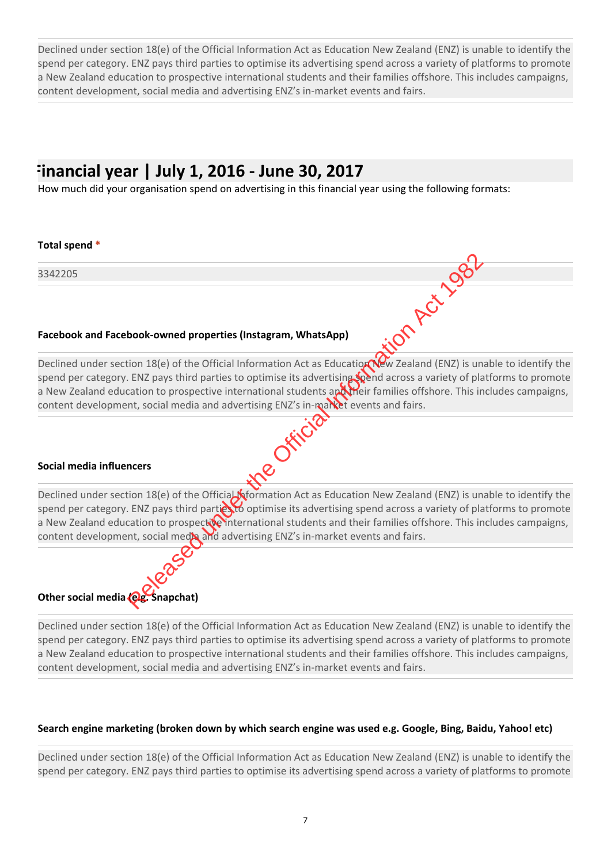### **Financial year | July 1, 2016 ‐ June 30, 2017**

How much did your organisation spend on advertising in this financial year using the following formats:

#### **Total spend \***

3342205

#### **Facebook and Facebook‐owned properties (Instagram, WhatsApp)**

Facebook and Facebook-owned properties (Instagram, WhatsApp)<br>Declined under section 18(e) of the Official Information Act as Education New Zealand (ENZ) is unable to identify the spend per category. ENZ pays third parties to optimise its advertising spend across a variety of platforms to promote a New Zealand education to prospective international students apertheir families offshore. This includes campaigns, content development, social media and advertising ENZ's in-market events and fairs.<br>
Social media influencers book-owned properties (Instagram, WhatsApp)<br>
tion 18(e) of the Official Information Act as Education We zealand (ENZ) is un<br>
ENZ pays third parties to optimise its advertising with a across a variety of place<br>
action to pr

#### **Social media influencers**

Declined under section 18(e) of the Official Kormation Act as Education New Zealand (ENZ) is unable to identify the spend per category. ENZ pays third parties to optimise its advertising spend across a variety of platforms to promote a New Zealand education to prospective international students and their families offshore. This includes campaigns, content development, social media and advertising ENZ's in-market events and fairs.



Declined under section 18(e) of the Official Information Act as Education New Zealand (ENZ) is unable to identify the spend per category. ENZ pays third parties to optimise its advertising spend across a variety of platforms to promote a New Zealand education to prospective international students and their families offshore. This includes campaigns, content development, social media and advertising ENZ's in-market events and fairs.

#### **Search engine marketing (broken down by which search engine was used e.g. Google, Bing, Baidu, Yahoo! etc)**

Declined under section 18(e) of the Official Information Act as Education New Zealand (ENZ) is unable to identify the spend per category. ENZ pays third parties to optimise its advertising spend across a variety of platforms to promote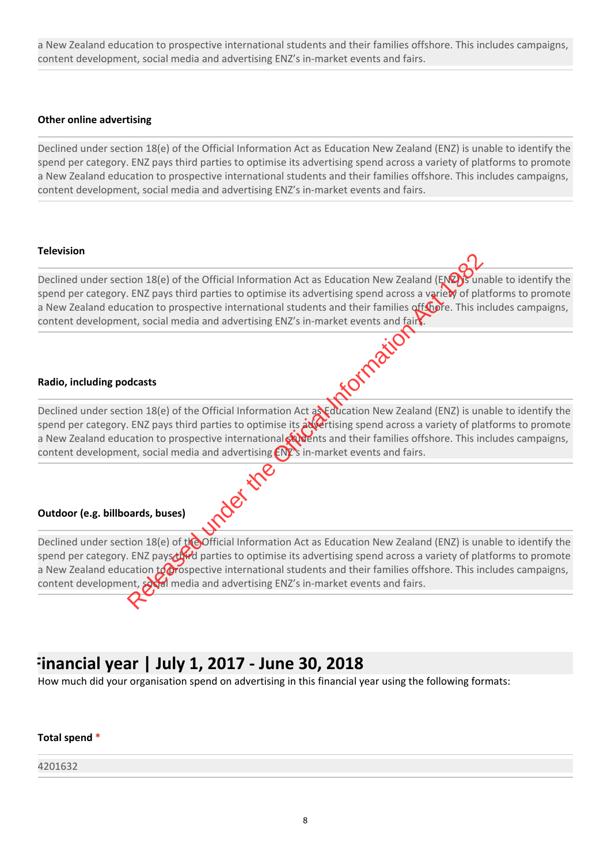a New Zealand education to prospective international students and their families offshore. This includes campaigns, content development, social media and advertising ENZ's in-market events and fairs.

#### **Other online advertising**

Declined under section 18(e) of the Official Information Act as Education New Zealand (ENZ) is unable to identify the spend per category. ENZ pays third parties to optimise its advertising spend across a variety of platforms to promote a New Zealand education to prospective international students and their families offshore. This includes campaigns, content development, social media and advertising ENZ's in‐market events and fairs.

#### **Television**

Declined under section 18(e) of the Official Information Act as Education New Zealand (ENZ) sunable to identify the spend per category. ENZ pays third parties to optimise its advertising spend across a variety of platforms to promote a New Zealand education to prospective international students and their families offshore. This includes campaigns, content development, social media and advertising ENZ's in-market events and fair<br>stadio, including podcasts.

#### **Radio, including podcasts**

Declined under section 18(e) of the Official Information Act as Education New Zealand (ENZ) is unable to identify the spend per category. ENZ pays third parties to optimise its *invertising spend across a variety of platforms to promote* a New Zealand education to prospective international students and their families offshore. This includes campaigns, content development, social media and advertising ENZ's in-market events and fairs.<br>
Outdoor (e.g. billboards, buses)

#### **Outdoor (e.g. billboards, buses)**

Declined under section 18(e) of  $t$  of  $\alpha$  Deficial Information Act as Education New Zealand (ENZ) is unable to identify the spend per category. ENZ pays third parties to optimise its advertising spend across a variety of platforms to promote a New Zealand education  $\mu$  prospective international students and their families offshore. This includes campaigns, content development, social media and advertising ENZ's in-market events and fairs. Election 18(e) of the Official Information Act as Education New Zealand (ENZ) sum<br>
Election to prospective international students and their families offserie, This in<br>
catation to prospective international students and the

### **Financial year | July 1, 2017 ‐ June 30, 2018**

How much did your organisation spend on advertising in this financial year using the following formats:

#### **Total spend \***

#### 4201632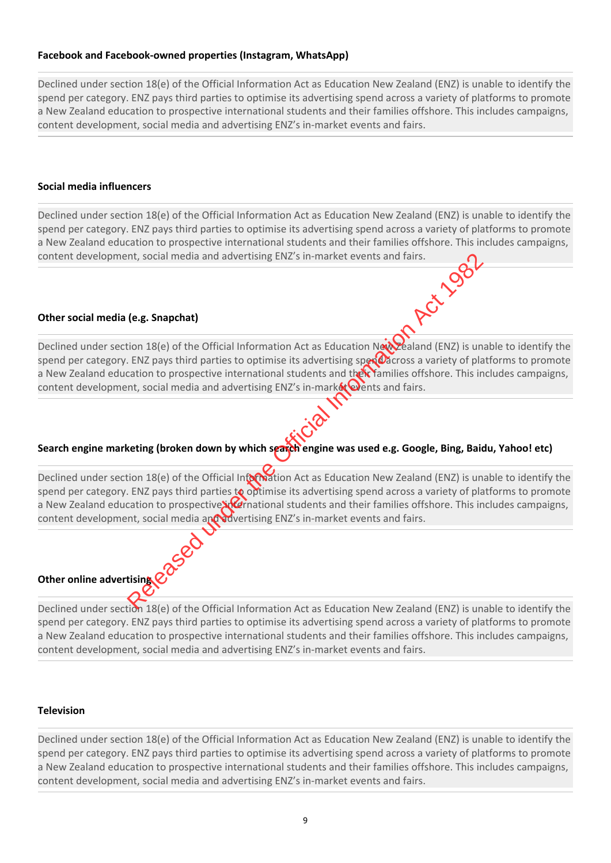#### **Facebook and Facebook‐owned properties (Instagram, WhatsApp)**

Declined under section 18(e) of the Official Information Act as Education New Zealand (ENZ) is unable to identify the spend per category. ENZ pays third parties to optimise its advertising spend across a variety of platforms to promote a New Zealand education to prospective international students and their families offshore. This includes campaigns, content development, social media and advertising ENZ's in‐market events and fairs.

#### **Social media influencers**

Declined under section 18(e) of the Official Information Act as Education New Zealand (ENZ) is unable to identify the spend per category. ENZ pays third parties to optimise its advertising spend across a variety of platforms to promote a New Zealand education to prospective international students and their families offshore. This includes campaigns, content development, social media and advertising ENZ's in-market events and fairs.<br>
Other social media (e.g. Snanches)

#### **Other social media (e.g. Snapchat)**

Declined under section 18(e) of the Official Information Act as Education New Zealand (ENZ) is unable to identify the spend per category. ENZ pays third parties to optimise its advertising sper cacross a variety of platforms to promote a New Zealand education to prospective international students and their families offshore. This includes campaigns, content development, social media and advertising ENZ's in-market  $\mathbf{\mathbf{\hat{w}}}$  ents and fairs.

#### Search engine marketing (broken down by which search engine was used e.g. Google, Bing, Baidu, Yahoo! etc)

Declined under section 18(e) of the Official Intormation Act as Education New Zealand (ENZ) is unable to identify the spend per category. ENZ pays third parties to optimise its advertising spend across a variety of platforms to promote a New Zealand education to prospective international students and their families offshore. This includes campaigns, content development, social media and advertising ENZ's in-market events and fairs. The Social media and advertising ENZ's in-market events and fairs.<br>
Considers the Official Information Act as Education Newthered and (ENZ) is under the Official Information Act as Education Newthered and (ENZ) is under th

#### **Other online advertising**

Declined under section 18(e) of the Official Information Act as Education New Zealand (ENZ) is unable to identify the spend per category. ENZ pays third parties to optimise its advertising spend across a variety of platforms to promote a New Zealand education to prospective international students and their families offshore. This includes campaigns, content development, social media and advertising ENZ's in‐market events and fairs.

#### **Television**

Declined under section 18(e) of the Official Information Act as Education New Zealand (ENZ) is unable to identify the spend per category. ENZ pays third parties to optimise its advertising spend across a variety of platforms to promote a New Zealand education to prospective international students and their families offshore. This includes campaigns, content development, social media and advertising ENZ's in-market events and fairs.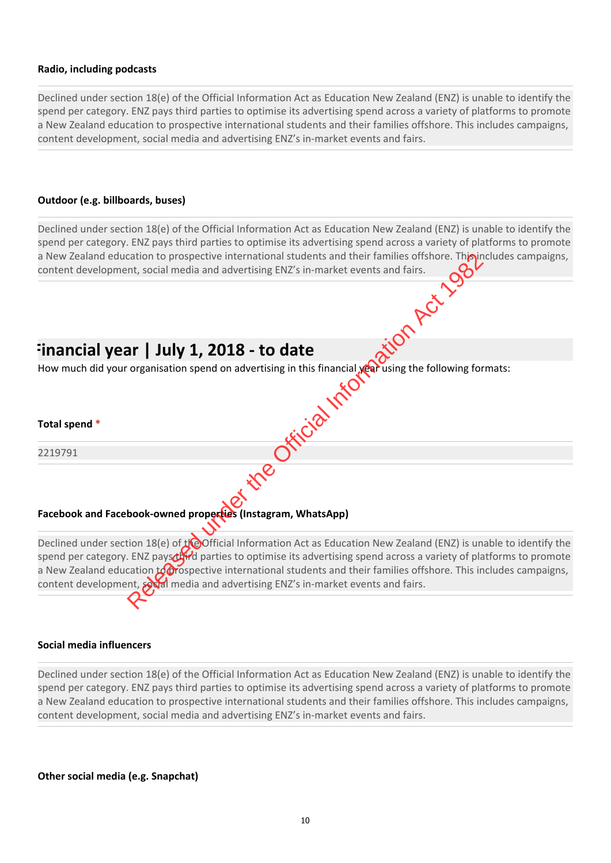#### **Radio, including podcasts**

Declined under section 18(e) of the Official Information Act as Education New Zealand (ENZ) is unable to identify the spend per category. ENZ pays third parties to optimise its advertising spend across a variety of platforms to promote a New Zealand education to prospective international students and their families offshore. This includes campaigns, content development, social media and advertising ENZ's in-market events and fairs.

#### **Outdoor (e.g. billboards, buses)**

Declined under section 18(e) of the Official Information Act as Education New Zealand (ENZ) is unable to identify the spend per category. ENZ pays third parties to optimise its advertising spend across a variety of platforms to promote a New Zealand education to prospective international students and their families offshore. This includes campaigns, content development, social media and advertising ENZ's in-market events and fairs. **Financial year | July 1, 2018 ‐ to date**  How much did your organisation spend on advertising in this financial **year** using the following formats: **Total spend \*** 2219791 **Facebook and Facebook‐owned properties (Instagram, WhatsApp)**  Declined under section 18(e) of the Official Information Act as Education New Zealand (ENZ) is unable to identify the Consider the Official Information and their families offshore. This is<br>ant, social media and advertising ENZ's in-market events and fairs.<br>
Social media and advertising ENZ's in-market events and fairs.<br>
Social media and a

spend per category. ENZ pays third parties to optimise its advertising spend across a variety of platforms to promote a New Zealand education  $\sharp$  prospective international students and their families offshore. This includes campaigns, content development, social media and advertising ENZ's in-market events and fairs.

#### **Social media influencers**

Declined under section 18(e) of the Official Information Act as Education New Zealand (ENZ) is unable to identify the spend per category. ENZ pays third parties to optimise its advertising spend across a variety of platforms to promote a New Zealand education to prospective international students and their families offshore. This includes campaigns, content development, social media and advertising ENZ's in‐market events and fairs.

**Other social media (e.g. Snapchat)**